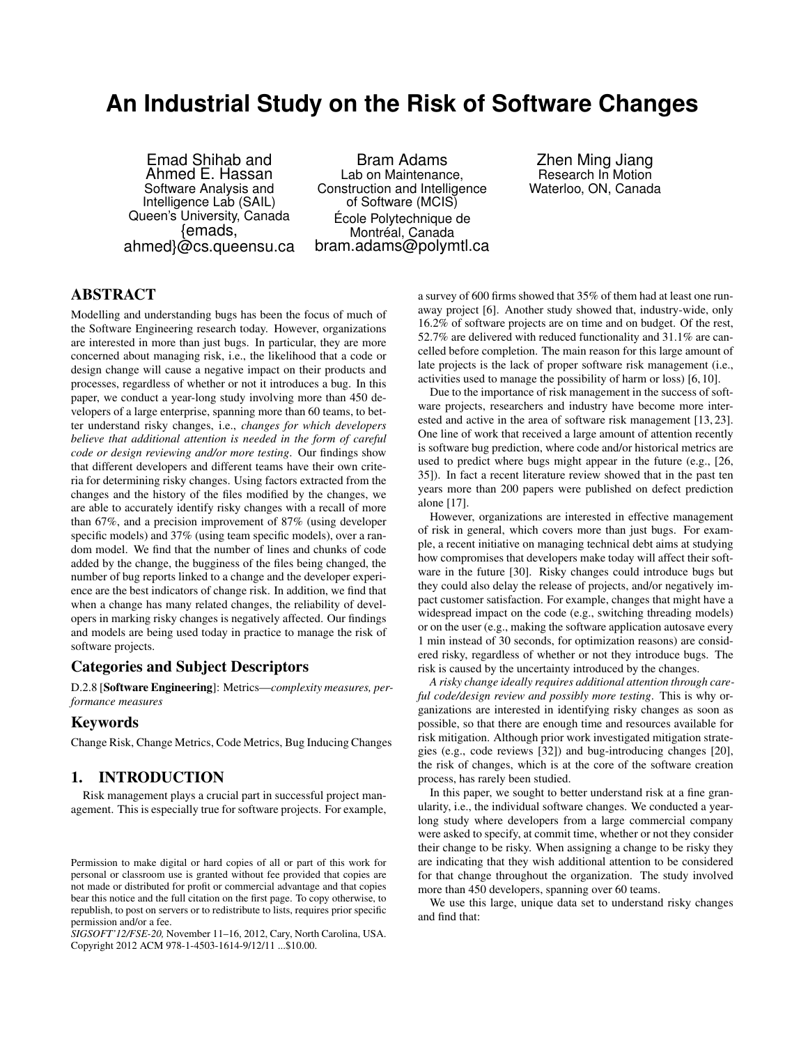# **An Industrial Study on the Risk of Software Changes**

Emad Shihab and Ahmed E. Hassan Software Analysis and Intelligence Lab (SAIL) Queen's University, Canada {emads, ahmed}@cs.queensu.ca

Bram Adams Lab on Maintenance, Construction and Intelligence of Software (MCIS) École Polytechnique de Montréal, Canada bram.adams@polymtl.ca

Zhen Ming Jiang Research In Motion Waterloo, ON, Canada

# ABSTRACT

Modelling and understanding bugs has been the focus of much of the Software Engineering research today. However, organizations are interested in more than just bugs. In particular, they are more concerned about managing risk, i.e., the likelihood that a code or design change will cause a negative impact on their products and processes, regardless of whether or not it introduces a bug. In this paper, we conduct a year-long study involving more than 450 developers of a large enterprise, spanning more than 60 teams, to better understand risky changes, i.e., *changes for which developers believe that additional attention is needed in the form of careful code or design reviewing and/or more testing*. Our findings show that different developers and different teams have their own criteria for determining risky changes. Using factors extracted from the changes and the history of the files modified by the changes, we are able to accurately identify risky changes with a recall of more than 67%, and a precision improvement of 87% (using developer specific models) and 37% (using team specific models), over a random model. We find that the number of lines and chunks of code added by the change, the bugginess of the files being changed, the number of bug reports linked to a change and the developer experience are the best indicators of change risk. In addition, we find that when a change has many related changes, the reliability of developers in marking risky changes is negatively affected. Our findings and models are being used today in practice to manage the risk of software projects.

## Categories and Subject Descriptors

D.2.8 [Software Engineering]: Metrics—*complexity measures, performance measures*

## Keywords

Change Risk, Change Metrics, Code Metrics, Bug Inducing Changes

# 1. INTRODUCTION

Risk management plays a crucial part in successful project management. This is especially true for software projects. For example,

*SIGSOFT'12/FSE-20,* November 11–16, 2012, Cary, North Carolina, USA. Copyright 2012 ACM 978-1-4503-1614-9/12/11 ...\$10.00.

a survey of 600 firms showed that 35% of them had at least one runaway project [6]. Another study showed that, industry-wide, only 16.2% of software projects are on time and on budget. Of the rest, 52.7% are delivered with reduced functionality and 31.1% are cancelled before completion. The main reason for this large amount of late projects is the lack of proper software risk management (i.e., activities used to manage the possibility of harm or loss) [6, 10].

Due to the importance of risk management in the success of software projects, researchers and industry have become more interested and active in the area of software risk management [13, 23]. One line of work that received a large amount of attention recently is software bug prediction, where code and/or historical metrics are used to predict where bugs might appear in the future (e.g., [26, 35]). In fact a recent literature review showed that in the past ten years more than 200 papers were published on defect prediction alone [17].

However, organizations are interested in effective management of risk in general, which covers more than just bugs. For example, a recent initiative on managing technical debt aims at studying how compromises that developers make today will affect their software in the future [30]. Risky changes could introduce bugs but they could also delay the release of projects, and/or negatively impact customer satisfaction. For example, changes that might have a widespread impact on the code (e.g., switching threading models) or on the user (e.g., making the software application autosave every 1 min instead of 30 seconds, for optimization reasons) are considered risky, regardless of whether or not they introduce bugs. The risk is caused by the uncertainty introduced by the changes.

*A risky change ideally requires additional attention through careful code/design review and possibly more testing*. This is why organizations are interested in identifying risky changes as soon as possible, so that there are enough time and resources available for risk mitigation. Although prior work investigated mitigation strategies (e.g., code reviews [32]) and bug-introducing changes [20], the risk of changes, which is at the core of the software creation process, has rarely been studied.

In this paper, we sought to better understand risk at a fine granularity, i.e., the individual software changes. We conducted a yearlong study where developers from a large commercial company were asked to specify, at commit time, whether or not they consider their change to be risky. When assigning a change to be risky they are indicating that they wish additional attention to be considered for that change throughout the organization. The study involved more than 450 developers, spanning over 60 teams.

We use this large, unique data set to understand risky changes and find that:

Permission to make digital or hard copies of all or part of this work for personal or classroom use is granted without fee provided that copies are not made or distributed for profit or commercial advantage and that copies bear this notice and the full citation on the first page. To copy otherwise, to republish, to post on servers or to redistribute to lists, requires prior specific permission and/or a fee.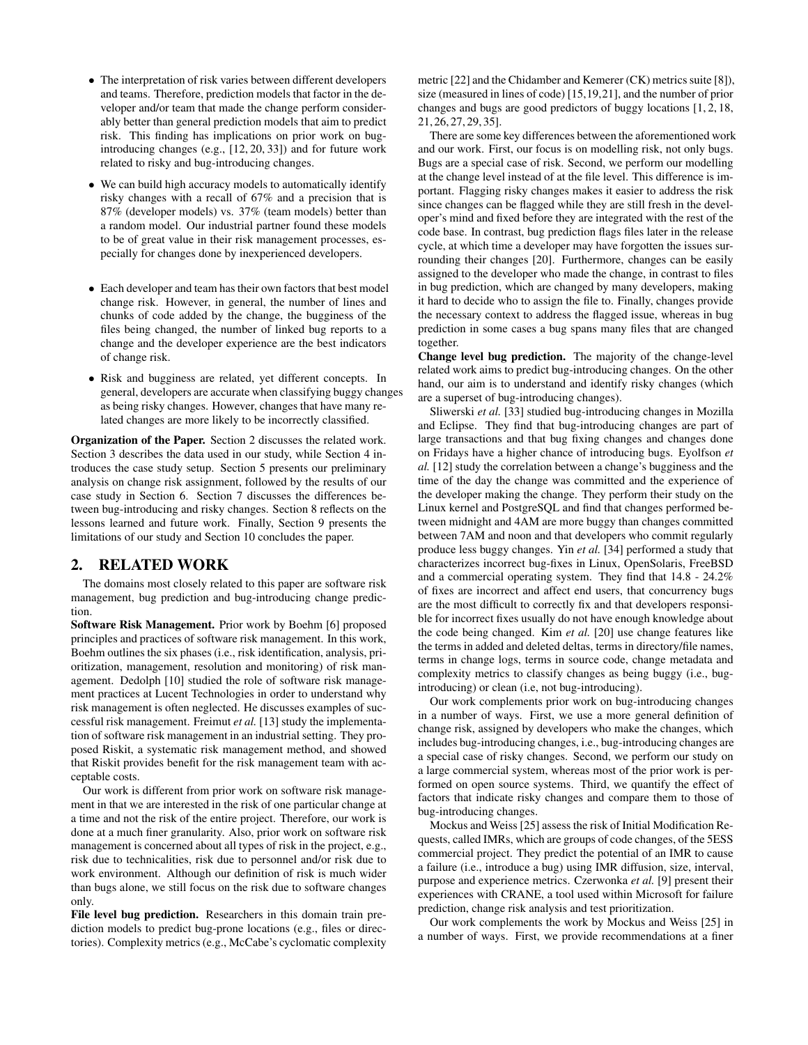- The interpretation of risk varies between different developers and teams. Therefore, prediction models that factor in the developer and/or team that made the change perform considerably better than general prediction models that aim to predict risk. This finding has implications on prior work on bugintroducing changes (e.g., [12, 20, 33]) and for future work related to risky and bug-introducing changes.
- We can build high accuracy models to automatically identify risky changes with a recall of 67% and a precision that is 87% (developer models) vs. 37% (team models) better than a random model. Our industrial partner found these models to be of great value in their risk management processes, especially for changes done by inexperienced developers.
- Each developer and team has their own factors that best model change risk. However, in general, the number of lines and chunks of code added by the change, the bugginess of the files being changed, the number of linked bug reports to a change and the developer experience are the best indicators of change risk.
- Risk and bugginess are related, yet different concepts. In general, developers are accurate when classifying buggy changes as being risky changes. However, changes that have many related changes are more likely to be incorrectly classified.

Organization of the Paper. Section 2 discusses the related work. Section 3 describes the data used in our study, while Section 4 introduces the case study setup. Section 5 presents our preliminary analysis on change risk assignment, followed by the results of our case study in Section 6. Section 7 discusses the differences between bug-introducing and risky changes. Section 8 reflects on the lessons learned and future work. Finally, Section 9 presents the limitations of our study and Section 10 concludes the paper.

# 2. RELATED WORK

The domains most closely related to this paper are software risk management, bug prediction and bug-introducing change prediction.

Software Risk Management. Prior work by Boehm [6] proposed principles and practices of software risk management. In this work, Boehm outlines the six phases (i.e., risk identification, analysis, prioritization, management, resolution and monitoring) of risk management. Dedolph [10] studied the role of software risk management practices at Lucent Technologies in order to understand why risk management is often neglected. He discusses examples of successful risk management. Freimut *et al.* [13] study the implementation of software risk management in an industrial setting. They proposed Riskit, a systematic risk management method, and showed that Riskit provides benefit for the risk management team with acceptable costs.

Our work is different from prior work on software risk management in that we are interested in the risk of one particular change at a time and not the risk of the entire project. Therefore, our work is done at a much finer granularity. Also, prior work on software risk management is concerned about all types of risk in the project, e.g., risk due to technicalities, risk due to personnel and/or risk due to work environment. Although our definition of risk is much wider than bugs alone, we still focus on the risk due to software changes only.

File level bug prediction. Researchers in this domain train prediction models to predict bug-prone locations (e.g., files or directories). Complexity metrics (e.g., McCabe's cyclomatic complexity metric [22] and the Chidamber and Kemerer (CK) metrics suite [8]), size (measured in lines of code) [15,19,21], and the number of prior changes and bugs are good predictors of buggy locations [1, 2, 18, 21, 26, 27, 29, 35].

There are some key differences between the aforementioned work and our work. First, our focus is on modelling risk, not only bugs. Bugs are a special case of risk. Second, we perform our modelling at the change level instead of at the file level. This difference is important. Flagging risky changes makes it easier to address the risk since changes can be flagged while they are still fresh in the developer's mind and fixed before they are integrated with the rest of the code base. In contrast, bug prediction flags files later in the release cycle, at which time a developer may have forgotten the issues surrounding their changes [20]. Furthermore, changes can be easily assigned to the developer who made the change, in contrast to files in bug prediction, which are changed by many developers, making it hard to decide who to assign the file to. Finally, changes provide the necessary context to address the flagged issue, whereas in bug prediction in some cases a bug spans many files that are changed together.

Change level bug prediction. The majority of the change-level related work aims to predict bug-introducing changes. On the other hand, our aim is to understand and identify risky changes (which are a superset of bug-introducing changes).

Sliwerski *et al.* [33] studied bug-introducing changes in Mozilla and Eclipse. They find that bug-introducing changes are part of large transactions and that bug fixing changes and changes done on Fridays have a higher chance of introducing bugs. Eyolfson *et al.* [12] study the correlation between a change's bugginess and the time of the day the change was committed and the experience of the developer making the change. They perform their study on the Linux kernel and PostgreSQL and find that changes performed between midnight and 4AM are more buggy than changes committed between 7AM and noon and that developers who commit regularly produce less buggy changes. Yin *et al.* [34] performed a study that characterizes incorrect bug-fixes in Linux, OpenSolaris, FreeBSD and a commercial operating system. They find that 14.8 - 24.2% of fixes are incorrect and affect end users, that concurrency bugs are the most difficult to correctly fix and that developers responsible for incorrect fixes usually do not have enough knowledge about the code being changed. Kim *et al.* [20] use change features like the terms in added and deleted deltas, terms in directory/file names, terms in change logs, terms in source code, change metadata and complexity metrics to classify changes as being buggy (i.e., bugintroducing) or clean (i.e, not bug-introducing).

Our work complements prior work on bug-introducing changes in a number of ways. First, we use a more general definition of change risk, assigned by developers who make the changes, which includes bug-introducing changes, i.e., bug-introducing changes are a special case of risky changes. Second, we perform our study on a large commercial system, whereas most of the prior work is performed on open source systems. Third, we quantify the effect of factors that indicate risky changes and compare them to those of bug-introducing changes.

Mockus and Weiss [25] assess the risk of Initial Modification Requests, called IMRs, which are groups of code changes, of the 5ESS commercial project. They predict the potential of an IMR to cause a failure (i.e., introduce a bug) using IMR diffusion, size, interval, purpose and experience metrics. Czerwonka *et al.* [9] present their experiences with CRANE, a tool used within Microsoft for failure prediction, change risk analysis and test prioritization.

Our work complements the work by Mockus and Weiss [25] in a number of ways. First, we provide recommendations at a finer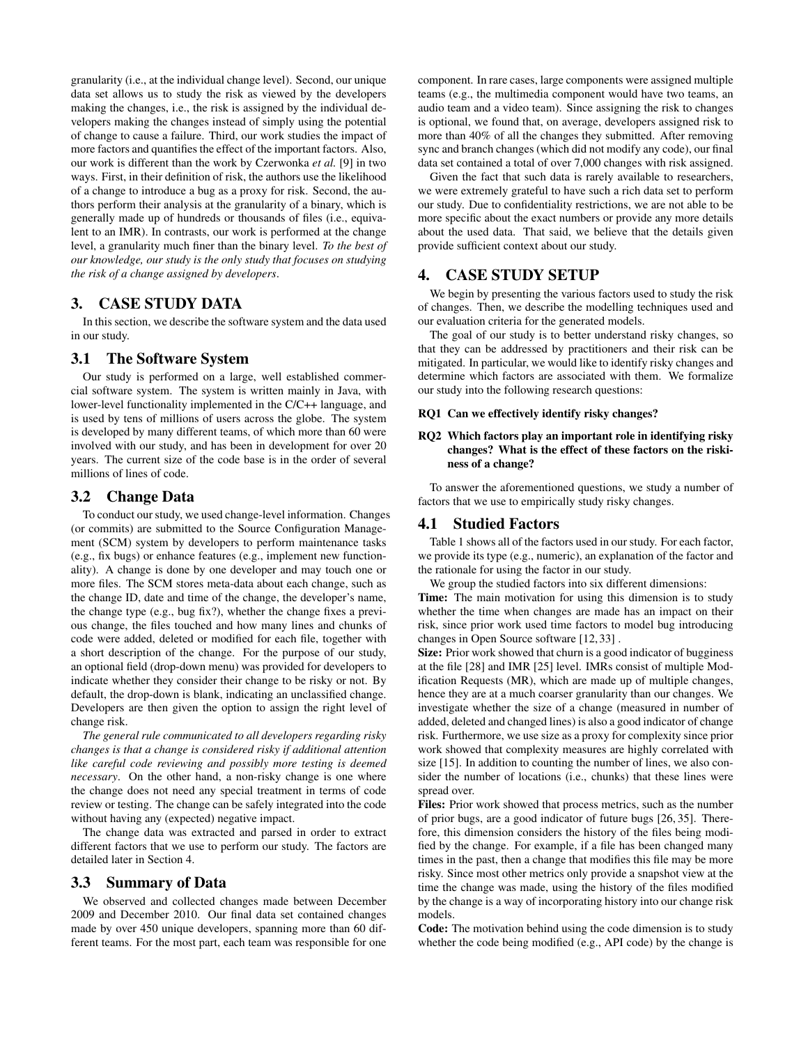granularity (i.e., at the individual change level). Second, our unique data set allows us to study the risk as viewed by the developers making the changes, i.e., the risk is assigned by the individual developers making the changes instead of simply using the potential of change to cause a failure. Third, our work studies the impact of more factors and quantifies the effect of the important factors. Also, our work is different than the work by Czerwonka *et al.* [9] in two ways. First, in their definition of risk, the authors use the likelihood of a change to introduce a bug as a proxy for risk. Second, the authors perform their analysis at the granularity of a binary, which is generally made up of hundreds or thousands of files (i.e., equivalent to an IMR). In contrasts, our work is performed at the change level, a granularity much finer than the binary level. *To the best of our knowledge, our study is the only study that focuses on studying the risk of a change assigned by developers*.

# 3. CASE STUDY DATA

In this section, we describe the software system and the data used in our study.

# 3.1 The Software System

Our study is performed on a large, well established commercial software system. The system is written mainly in Java, with lower-level functionality implemented in the C/C++ language, and is used by tens of millions of users across the globe. The system is developed by many different teams, of which more than 60 were involved with our study, and has been in development for over 20 years. The current size of the code base is in the order of several millions of lines of code.

## 3.2 Change Data

To conduct our study, we used change-level information. Changes (or commits) are submitted to the Source Configuration Management (SCM) system by developers to perform maintenance tasks (e.g., fix bugs) or enhance features (e.g., implement new functionality). A change is done by one developer and may touch one or more files. The SCM stores meta-data about each change, such as the change ID, date and time of the change, the developer's name, the change type (e.g., bug fix?), whether the change fixes a previous change, the files touched and how many lines and chunks of code were added, deleted or modified for each file, together with a short description of the change. For the purpose of our study, an optional field (drop-down menu) was provided for developers to indicate whether they consider their change to be risky or not. By default, the drop-down is blank, indicating an unclassified change. Developers are then given the option to assign the right level of change risk.

*The general rule communicated to all developers regarding risky changes is that a change is considered risky if additional attention like careful code reviewing and possibly more testing is deemed necessary*. On the other hand, a non-risky change is one where the change does not need any special treatment in terms of code review or testing. The change can be safely integrated into the code without having any (expected) negative impact.

The change data was extracted and parsed in order to extract different factors that we use to perform our study. The factors are detailed later in Section 4.

#### 3.3 Summary of Data

We observed and collected changes made between December 2009 and December 2010. Our final data set contained changes made by over 450 unique developers, spanning more than 60 different teams. For the most part, each team was responsible for one

component. In rare cases, large components were assigned multiple teams (e.g., the multimedia component would have two teams, an audio team and a video team). Since assigning the risk to changes is optional, we found that, on average, developers assigned risk to more than 40% of all the changes they submitted. After removing sync and branch changes (which did not modify any code), our final data set contained a total of over 7,000 changes with risk assigned.

Given the fact that such data is rarely available to researchers, we were extremely grateful to have such a rich data set to perform our study. Due to confidentiality restrictions, we are not able to be more specific about the exact numbers or provide any more details about the used data. That said, we believe that the details given provide sufficient context about our study.

# 4. CASE STUDY SETUP

We begin by presenting the various factors used to study the risk of changes. Then, we describe the modelling techniques used and our evaluation criteria for the generated models.

The goal of our study is to better understand risky changes, so that they can be addressed by practitioners and their risk can be mitigated. In particular, we would like to identify risky changes and determine which factors are associated with them. We formalize our study into the following research questions:

## RQ1 Can we effectively identify risky changes?

## RQ2 Which factors play an important role in identifying risky changes? What is the effect of these factors on the riskiness of a change?

To answer the aforementioned questions, we study a number of factors that we use to empirically study risky changes.

#### 4.1 Studied Factors

Table 1 shows all of the factors used in our study. For each factor, we provide its type (e.g., numeric), an explanation of the factor and the rationale for using the factor in our study.

We group the studied factors into six different dimensions:

Time: The main motivation for using this dimension is to study whether the time when changes are made has an impact on their risk, since prior work used time factors to model bug introducing changes in Open Source software [12, 33] .

Size: Prior work showed that churn is a good indicator of bugginess at the file [28] and IMR [25] level. IMRs consist of multiple Modification Requests (MR), which are made up of multiple changes, hence they are at a much coarser granularity than our changes. We investigate whether the size of a change (measured in number of added, deleted and changed lines) is also a good indicator of change risk. Furthermore, we use size as a proxy for complexity since prior work showed that complexity measures are highly correlated with size [15]. In addition to counting the number of lines, we also consider the number of locations (i.e., chunks) that these lines were spread over.

Files: Prior work showed that process metrics, such as the number of prior bugs, are a good indicator of future bugs [26, 35]. Therefore, this dimension considers the history of the files being modified by the change. For example, if a file has been changed many times in the past, then a change that modifies this file may be more risky. Since most other metrics only provide a snapshot view at the time the change was made, using the history of the files modified by the change is a way of incorporating history into our change risk models.

Code: The motivation behind using the code dimension is to study whether the code being modified (e.g., API code) by the change is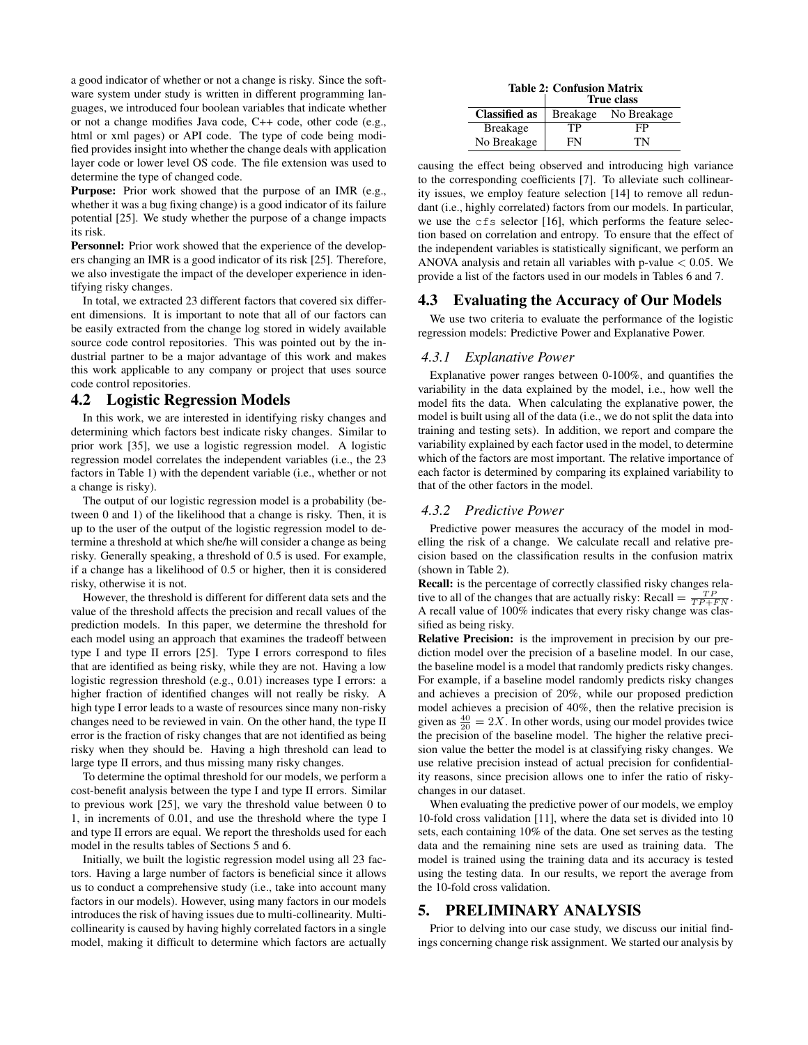a good indicator of whether or not a change is risky. Since the software system under study is written in different programming languages, we introduced four boolean variables that indicate whether or not a change modifies Java code, C++ code, other code (e.g., html or xml pages) or API code. The type of code being modified provides insight into whether the change deals with application layer code or lower level OS code. The file extension was used to determine the type of changed code.

Purpose: Prior work showed that the purpose of an IMR (e.g., whether it was a bug fixing change) is a good indicator of its failure potential [25]. We study whether the purpose of a change impacts its risk.

Personnel: Prior work showed that the experience of the developers changing an IMR is a good indicator of its risk [25]. Therefore, we also investigate the impact of the developer experience in identifying risky changes.

In total, we extracted 23 different factors that covered six different dimensions. It is important to note that all of our factors can be easily extracted from the change log stored in widely available source code control repositories. This was pointed out by the industrial partner to be a major advantage of this work and makes this work applicable to any company or project that uses source code control repositories.

## 4.2 Logistic Regression Models

In this work, we are interested in identifying risky changes and determining which factors best indicate risky changes. Similar to prior work [35], we use a logistic regression model. A logistic regression model correlates the independent variables (i.e., the 23 factors in Table 1) with the dependent variable (i.e., whether or not a change is risky).

The output of our logistic regression model is a probability (between 0 and 1) of the likelihood that a change is risky. Then, it is up to the user of the output of the logistic regression model to determine a threshold at which she/he will consider a change as being risky. Generally speaking, a threshold of 0.5 is used. For example, if a change has a likelihood of 0.5 or higher, then it is considered risky, otherwise it is not.

However, the threshold is different for different data sets and the value of the threshold affects the precision and recall values of the prediction models. In this paper, we determine the threshold for each model using an approach that examines the tradeoff between type I and type II errors [25]. Type I errors correspond to files that are identified as being risky, while they are not. Having a low logistic regression threshold (e.g., 0.01) increases type I errors: a higher fraction of identified changes will not really be risky. A high type I error leads to a waste of resources since many non-risky changes need to be reviewed in vain. On the other hand, the type II error is the fraction of risky changes that are not identified as being risky when they should be. Having a high threshold can lead to large type II errors, and thus missing many risky changes.

To determine the optimal threshold for our models, we perform a cost-benefit analysis between the type I and type II errors. Similar to previous work [25], we vary the threshold value between 0 to 1, in increments of 0.01, and use the threshold where the type I and type II errors are equal. We report the thresholds used for each model in the results tables of Sections 5 and 6.

Initially, we built the logistic regression model using all 23 factors. Having a large number of factors is beneficial since it allows us to conduct a comprehensive study (i.e., take into account many factors in our models). However, using many factors in our models introduces the risk of having issues due to multi-collinearity. Multicollinearity is caused by having highly correlated factors in a single model, making it difficult to determine which factors are actually

|  | Table 2: Confusion Matrix |  |
|--|---------------------------|--|
|  |                           |  |

|                      |    | <b>True class</b>    |
|----------------------|----|----------------------|
| <b>Classified as</b> |    | Breakage No Breakage |
| <b>Breakage</b>      | TP | FP                   |
| No Breakage          | FN | TN                   |

causing the effect being observed and introducing high variance to the corresponding coefficients [7]. To alleviate such collinearity issues, we employ feature selection [14] to remove all redundant (i.e., highly correlated) factors from our models. In particular, we use the cfs selector [16], which performs the feature selection based on correlation and entropy. To ensure that the effect of the independent variables is statistically significant, we perform an ANOVA analysis and retain all variables with p-value  $< 0.05$ . We provide a list of the factors used in our models in Tables 6 and 7.

#### 4.3 Evaluating the Accuracy of Our Models

We use two criteria to evaluate the performance of the logistic regression models: Predictive Power and Explanative Power.

#### *4.3.1 Explanative Power*

Explanative power ranges between 0-100%, and quantifies the variability in the data explained by the model, i.e., how well the model fits the data. When calculating the explanative power, the model is built using all of the data (i.e., we do not split the data into training and testing sets). In addition, we report and compare the variability explained by each factor used in the model, to determine which of the factors are most important. The relative importance of each factor is determined by comparing its explained variability to that of the other factors in the model.

#### *4.3.2 Predictive Power*

Predictive power measures the accuracy of the model in modelling the risk of a change. We calculate recall and relative precision based on the classification results in the confusion matrix (shown in Table 2).

Recall: is the percentage of correctly classified risky changes relative to all of the changes that are actually risky: Recall  $= \frac{TP}{TP + FN}$ . A recall value of 100% indicates that every risky change was classified as being risky.

Relative Precision: is the improvement in precision by our prediction model over the precision of a baseline model. In our case, the baseline model is a model that randomly predicts risky changes. For example, if a baseline model randomly predicts risky changes and achieves a precision of 20%, while our proposed prediction model achieves a precision of 40%, then the relative precision is given as  $\frac{40}{20} = 2X$ . In other words, using our model provides twice the precision of the baseline model. The higher the relative precision value the better the model is at classifying risky changes. We use relative precision instead of actual precision for confidentiality reasons, since precision allows one to infer the ratio of riskychanges in our dataset.

When evaluating the predictive power of our models, we employ 10-fold cross validation [11], where the data set is divided into 10 sets, each containing 10% of the data. One set serves as the testing data and the remaining nine sets are used as training data. The model is trained using the training data and its accuracy is tested using the testing data. In our results, we report the average from the 10-fold cross validation.

## 5. PRELIMINARY ANALYSIS

Prior to delving into our case study, we discuss our initial findings concerning change risk assignment. We started our analysis by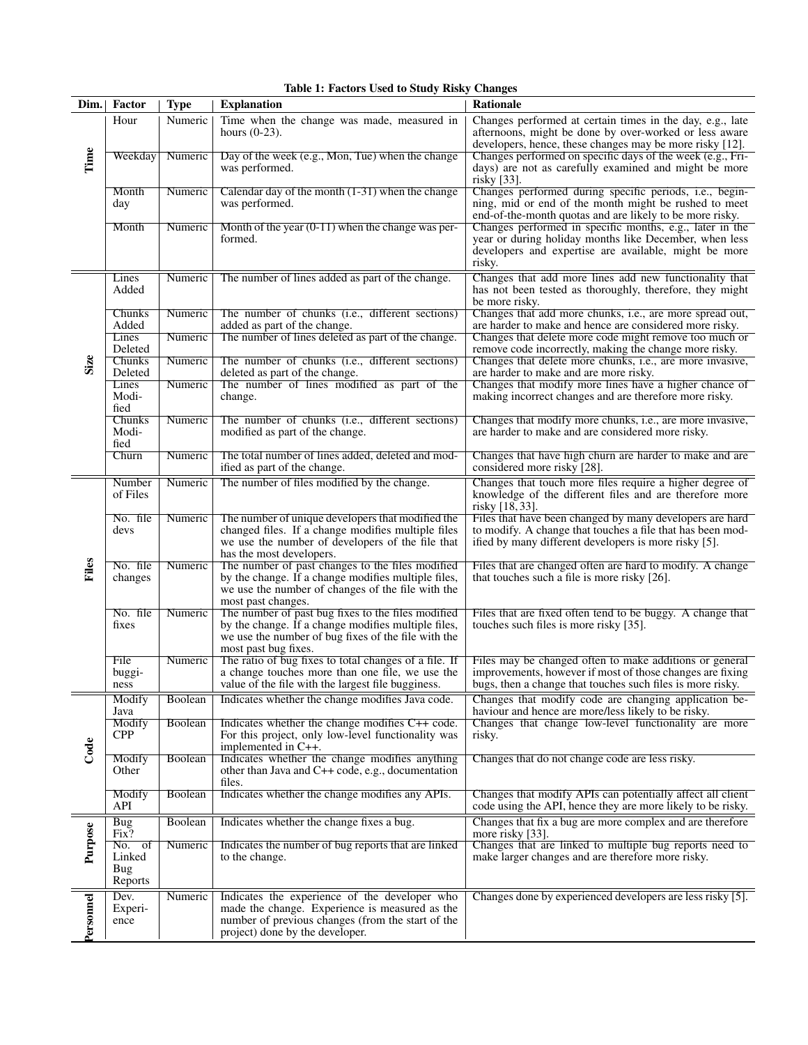|           | Dim. Factor                    | <b>Type</b>        | <b>Explanation</b>                                                                                                                                                                       | Rationale                                                                                                                                                                             |
|-----------|--------------------------------|--------------------|------------------------------------------------------------------------------------------------------------------------------------------------------------------------------------------|---------------------------------------------------------------------------------------------------------------------------------------------------------------------------------------|
|           | Hour                           | Numeric            | Time when the change was made, measured in<br>hours $(0-23)$ .                                                                                                                           | Changes performed at certain times in the day, e.g., late<br>afternoons, might be done by over-worked or less aware<br>developers, hence, these changes may be more risky [12].       |
| Time      | Weekday                        | Numeric            | Day of the week (e.g., Mon, Tue) when the change<br>was performed.                                                                                                                       | Changes performed on specific days of the week (e.g., Fri-<br>days) are not as carefully examined and might be more<br>risky [33].                                                    |
|           | Month<br>day                   | Numeric            | Calendar day of the month (1-31) when the change<br>was performed.                                                                                                                       | Changes performed during specific periods, i.e., begin-<br>ning, mid or end of the month might be rushed to meet<br>end-of-the-month quotas and are likely to be more risky.          |
|           | Month                          | Numeric            | Month of the year $(0-11)$ when the change was per-<br>formed.                                                                                                                           | Changes performed in specific months, e.g., later in the<br>year or during holiday months like December, when less<br>developers and expertise are available, might be more<br>risky. |
|           | Lines<br>Added                 | Numeric            | The number of lines added as part of the change.                                                                                                                                         | Changes that add more lines add new functionality that<br>has not been tested as thoroughly, therefore, they might<br>be more risky.                                                  |
|           | Chunks<br>Added<br>Lines       | Numeric<br>Numeric | The number of chunks (i.e., different sections)<br>added as part of the change.<br>The number of lines deleted as part of the change.                                                    | Changes that add more chunks, <i>i.e.</i> , are more spread out,<br>are harder to make and hence are considered more risky.<br>Changes that delete more code might remove too much or |
|           | Deleted                        |                    |                                                                                                                                                                                          | remove code incorrectly, making the change more risky.                                                                                                                                |
| Size      | Chunks                         | Numeric            | The number of chunks <i>(i.e., different sections)</i>                                                                                                                                   | Changes that delete more chunks, <i>i.e.</i> , are more invasive,                                                                                                                     |
|           | Deleted                        |                    | deleted as part of the change.                                                                                                                                                           | are harder to make and are more risky.                                                                                                                                                |
|           | Lines<br>Modi-<br>fied         | Numeric            | The number of lines modified as part of the<br>change.                                                                                                                                   | Changes that modify more lines have a higher chance of<br>making incorrect changes and are therefore more risky.                                                                      |
|           | <b>Chunks</b><br>Modi-<br>fied | <b>Numeric</b>     | The number of chunks ( <i>i.e.</i> , different sections)<br>modified as part of the change.                                                                                              | Changes that modify more chunks, i.e., are more invasive,<br>are harder to make and are considered more risky.                                                                        |
|           | Churn                          | Numeric            | The total number of lines added, deleted and mod-<br>ified as part of the change.                                                                                                        | Changes that have high churn are harder to make and are<br>considered more risky [28].                                                                                                |
|           | Number<br>of Files             | Numeric            | The number of files modified by the change.                                                                                                                                              | Changes that touch more files require a higher degree of<br>knowledge of the different files and are therefore more<br>risky [18, 33].                                                |
|           | No. file<br>devs               | Numeric            | The number of unique developers that modified the<br>changed files. If a change modifies multiple files<br>we use the number of developers of the file that<br>has the most developers.  | Files that have been changed by many developers are hard<br>to modify. A change that touches a file that has been mod-<br>ified by many different developers is more risky [5].       |
| Files     | No. file<br>changes            | Numeric            | The number of past changes to the files modified<br>by the change. If a change modifies multiple files,<br>we use the number of changes of the file with the<br>most past changes.       | Files that are changed often are hard to modify. A change<br>that touches such a file is more risky [26].                                                                             |
|           | No. file<br>fixes              | Numeric            | The number of past bug fixes to the files modified<br>by the change. If a change modifies multiple files,<br>we use the number of bug fixes of the file with the<br>most past bug fixes. | Files that are fixed often tend to be buggy. A change that<br>touches such files is more risky [35].                                                                                  |
|           | File<br>buggi-<br>ness         | Numeric            | The ratio of bug fixes to total changes of a file. If<br>a change touches more than one file, we use the<br>value of the file with the largest file bugginess.                           | Files may be changed often to make additions or general<br>improvements, however if most of those changes are fixing<br>bugs, then a change that touches such files is more risky.    |
|           | Modify<br>Java                 | Boolean            | Indicates whether the change modifies Java code.                                                                                                                                         | Changes that modify code are changing application be-<br>haviour and hence are more/less likely to be risky.                                                                          |
| Code      | Modify<br><b>CPP</b>           | <b>Boolean</b>     | Indicates whether the change modifies C++ code.<br>For this project, only low-level functionality was<br>implemented in C++.                                                             | Changes that change low-level functionality are more<br>risky.                                                                                                                        |
|           | Modify<br>Other                | <b>Boolean</b>     | Indicates whether the change modifies anything<br>other than Java and $C++$ code, e.g., documentation<br>files.                                                                          | Changes that do not change code are less risky.                                                                                                                                       |
|           | Modify<br>API                  | <b>Boolean</b>     | Indicates whether the change modifies any APIs.                                                                                                                                          | Changes that modify APIs can potentially affect all client<br>code using the API, hence they are more likely to be risky.                                                             |
| Purpose   | <b>Bug</b><br>Fix?<br>No. of   | Boolean<br>Numeric | Indicates whether the change fixes a bug.<br>Indicates the number of bug reports that are linked                                                                                         | Changes that fix a bug are more complex and are therefore<br>more risky [33].<br>Changes that are linked to multiple bug reports need to                                              |
|           | Linked<br>Bug<br>Reports       |                    | to the change.                                                                                                                                                                           | make larger changes and are therefore more risky.                                                                                                                                     |
|           | Dev.                           | Numeric            | Indicates the experience of the developer who                                                                                                                                            | Changes done by experienced developers are less risky [5].                                                                                                                            |
| Personnel | Experi-<br>ence                |                    | made the change. Experience is measured as the<br>number of previous changes (from the start of the<br>project) done by the developer.                                                   |                                                                                                                                                                                       |

## Table 1: Factors Used to Study Risky Changes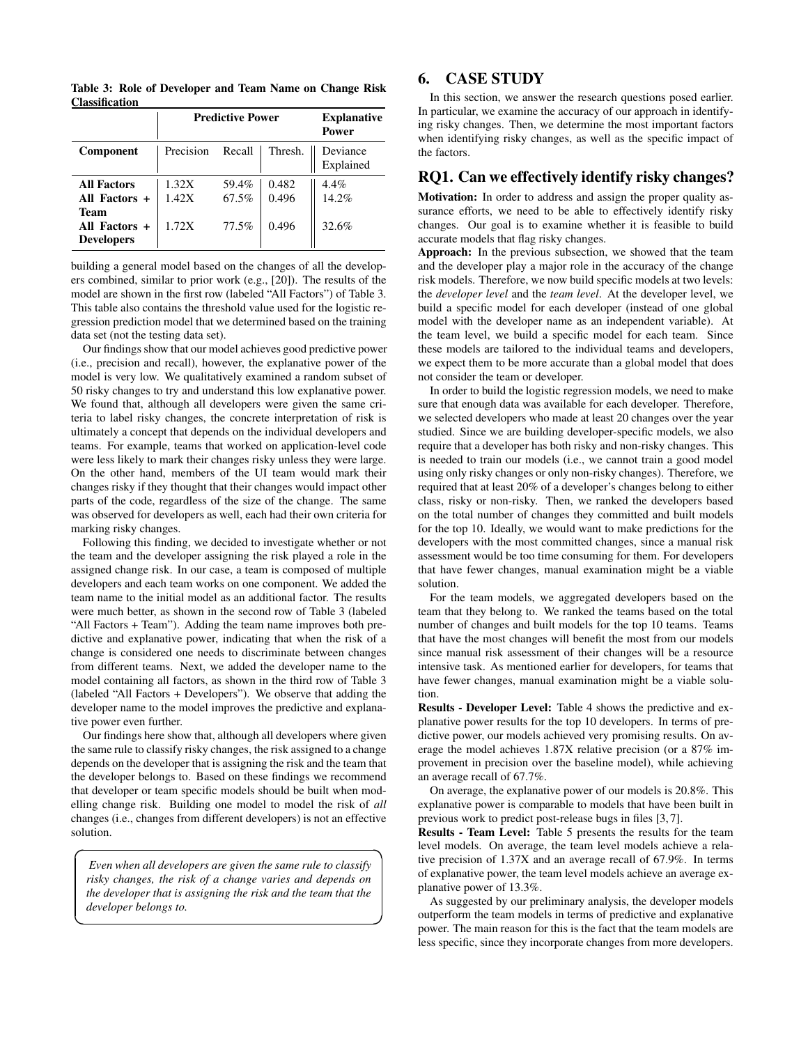Table 3: Role of Developer and Team Name on Change Risk Classification

|                                                                                          |                         | <b>Predictive Power</b> |                         | <b>Explanative</b><br>Power |
|------------------------------------------------------------------------------------------|-------------------------|-------------------------|-------------------------|-----------------------------|
| Component                                                                                | Precision               | Recall                  | Thresh.                 | Deviance<br>Explained       |
| <b>All Factors</b><br>All Factors +<br><b>Team</b><br>All Factors +<br><b>Developers</b> | 1.32X<br>1.42X<br>1.72X | 59.4%<br>67.5%<br>77.5% | 0.482<br>0.496<br>0.496 | 4.4%<br>14.2%<br>32.6%      |

building a general model based on the changes of all the developers combined, similar to prior work (e.g., [20]). The results of the model are shown in the first row (labeled "All Factors") of Table 3. This table also contains the threshold value used for the logistic regression prediction model that we determined based on the training data set (not the testing data set).

Our findings show that our model achieves good predictive power (i.e., precision and recall), however, the explanative power of the model is very low. We qualitatively examined a random subset of 50 risky changes to try and understand this low explanative power. We found that, although all developers were given the same criteria to label risky changes, the concrete interpretation of risk is ultimately a concept that depends on the individual developers and teams. For example, teams that worked on application-level code were less likely to mark their changes risky unless they were large. On the other hand, members of the UI team would mark their changes risky if they thought that their changes would impact other parts of the code, regardless of the size of the change. The same was observed for developers as well, each had their own criteria for marking risky changes.

Following this finding, we decided to investigate whether or not the team and the developer assigning the risk played a role in the assigned change risk. In our case, a team is composed of multiple developers and each team works on one component. We added the team name to the initial model as an additional factor. The results were much better, as shown in the second row of Table 3 (labeled "All Factors + Team"). Adding the team name improves both predictive and explanative power, indicating that when the risk of a change is considered one needs to discriminate between changes from different teams. Next, we added the developer name to the model containing all factors, as shown in the third row of Table 3 (labeled "All Factors + Developers"). We observe that adding the developer name to the model improves the predictive and explanative power even further.

Our findings here show that, although all developers where given the same rule to classify risky changes, the risk assigned to a change depends on the developer that is assigning the risk and the team that the developer belongs to. Based on these findings we recommend that developer or team specific models should be built when modelling change risk. Building one model to model the risk of *all* changes (i.e., changes from different developers) is not an effective solution.

*Even when all developers are given the same rule to classify risky changes, the risk of a change varies and depends on the developer that is assigning the risk and the team that the developer belongs to.*

✟

 $\overline{a}$ 

 $\searrow$ 

# 6. CASE STUDY

In this section, we answer the research questions posed earlier. In particular, we examine the accuracy of our approach in identifying risky changes. Then, we determine the most important factors when identifying risky changes, as well as the specific impact of the factors.

# RQ1. Can we effectively identify risky changes?

Motivation: In order to address and assign the proper quality assurance efforts, we need to be able to effectively identify risky changes. Our goal is to examine whether it is feasible to build accurate models that flag risky changes.

Approach: In the previous subsection, we showed that the team and the developer play a major role in the accuracy of the change risk models. Therefore, we now build specific models at two levels: the *developer level* and the *team level*. At the developer level, we build a specific model for each developer (instead of one global model with the developer name as an independent variable). At the team level, we build a specific model for each team. Since these models are tailored to the individual teams and developers, we expect them to be more accurate than a global model that does not consider the team or developer.

In order to build the logistic regression models, we need to make sure that enough data was available for each developer. Therefore, we selected developers who made at least 20 changes over the year studied. Since we are building developer-specific models, we also require that a developer has both risky and non-risky changes. This is needed to train our models (i.e., we cannot train a good model using only risky changes or only non-risky changes). Therefore, we required that at least 20% of a developer's changes belong to either class, risky or non-risky. Then, we ranked the developers based on the total number of changes they committed and built models for the top 10. Ideally, we would want to make predictions for the developers with the most committed changes, since a manual risk assessment would be too time consuming for them. For developers that have fewer changes, manual examination might be a viable solution.

For the team models, we aggregated developers based on the team that they belong to. We ranked the teams based on the total number of changes and built models for the top 10 teams. Teams that have the most changes will benefit the most from our models since manual risk assessment of their changes will be a resource intensive task. As mentioned earlier for developers, for teams that have fewer changes, manual examination might be a viable solution.

Results - Developer Level: Table 4 shows the predictive and explanative power results for the top 10 developers. In terms of predictive power, our models achieved very promising results. On average the model achieves 1.87X relative precision (or a 87% improvement in precision over the baseline model), while achieving an average recall of 67.7%.

On average, the explanative power of our models is 20.8%. This explanative power is comparable to models that have been built in previous work to predict post-release bugs in files [3, 7].

Results - Team Level: Table 5 presents the results for the team level models. On average, the team level models achieve a relative precision of 1.37X and an average recall of 67.9%. In terms of explanative power, the team level models achieve an average explanative power of 13.3%.

As suggested by our preliminary analysis, the developer models outperform the team models in terms of predictive and explanative power. The main reason for this is the fact that the team models are less specific, since they incorporate changes from more developers.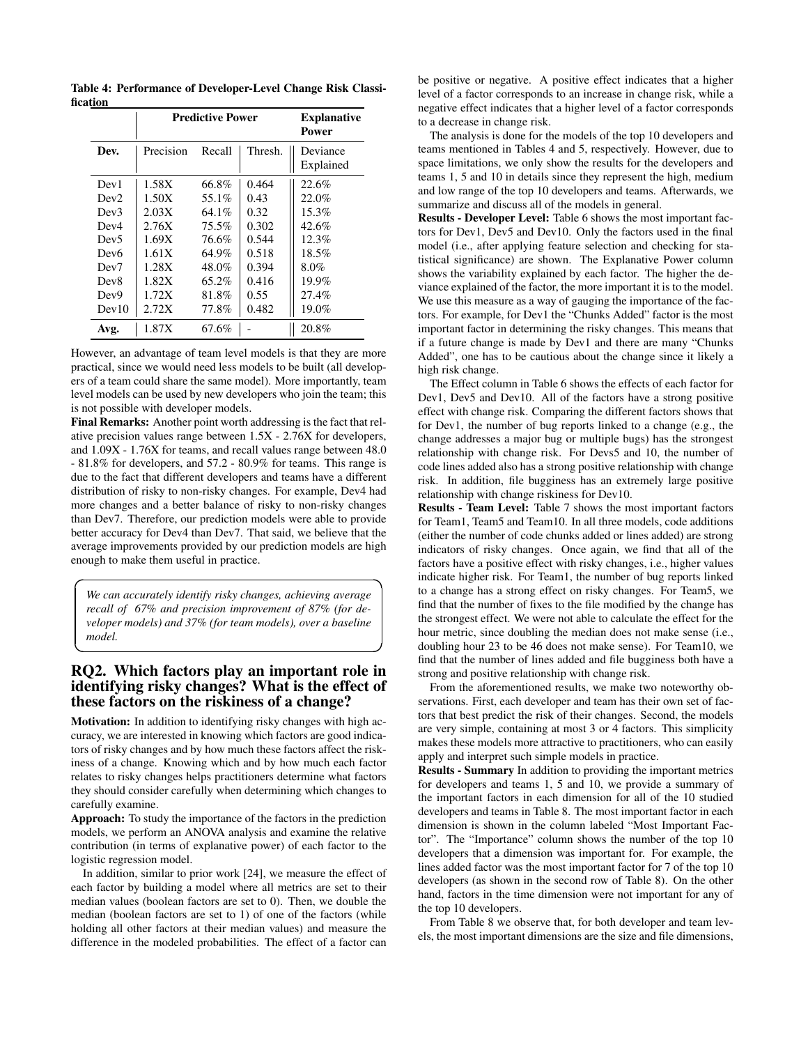Table 4: Performance of Developer-Level Change Risk Classification

|                  |           | <b>Predictive Power</b> |         | <b>Explanative</b><br>Power |
|------------------|-----------|-------------------------|---------|-----------------------------|
| Dev.             | Precision | Recall                  | Thresh. | Deviance                    |
|                  |           |                         |         | Explained                   |
| Dev1             | 1.58X     | 66.8%                   | 0.464   | 22.6%                       |
| Dev <sub>2</sub> | 1.50X     | 55.1%                   | 0.43    | 22.0%                       |
| Dev <sub>3</sub> | 2.03X     | 64.1%                   | 0.32    | 15.3%                       |
| Dev4             | 2.76X     | 75.5%                   | 0.302   | 42.6%                       |
| Dev <sub>5</sub> | 1.69X     | 76.6%                   | 0.544   | 12.3%                       |
| Dev <sub>6</sub> | 1.61X     | 64.9%                   | 0.518   | 18.5%                       |
| Dev <sub>7</sub> | 1.28X     | 48.0%                   | 0.394   | 8.0%                        |
| Dev <sub>8</sub> | 1.82X     | 65.2%                   | 0.416   | $19.9\%$                    |
| Dev9             | 1.72X     | 81.8%                   | 0.55    | 27.4%                       |
| Dev10            | 2.72X     | 77.8%                   | 0.482   | 19.0%                       |
| Avg.             | 1.87X     | 67.6%                   |         | 20.8%                       |

However, an advantage of team level models is that they are more practical, since we would need less models to be built (all developers of a team could share the same model). More importantly, team level models can be used by new developers who join the team; this is not possible with developer models.

Final Remarks: Another point worth addressing is the fact that relative precision values range between 1.5X - 2.76X for developers, and 1.09X - 1.76X for teams, and recall values range between 48.0 - 81.8% for developers, and 57.2 - 80.9% for teams. This range is due to the fact that different developers and teams have a different distribution of risky to non-risky changes. For example, Dev4 had more changes and a better balance of risky to non-risky changes than Dev7. Therefore, our prediction models were able to provide better accuracy for Dev4 than Dev7. That said, we believe that the average improvements provided by our prediction models are high enough to make them useful in practice.

*We can accurately identify risky changes, achieving average recall of 67% and precision improvement of 87% (for developer models) and 37% (for team models), over a baseline model.*

✟

✠

☛

 $\searrow$ 

# RQ2. Which factors play an important role in identifying risky changes? What is the effect of these factors on the riskiness of a change?

Motivation: In addition to identifying risky changes with high accuracy, we are interested in knowing which factors are good indicators of risky changes and by how much these factors affect the riskiness of a change. Knowing which and by how much each factor relates to risky changes helps practitioners determine what factors they should consider carefully when determining which changes to carefully examine.

Approach: To study the importance of the factors in the prediction models, we perform an ANOVA analysis and examine the relative contribution (in terms of explanative power) of each factor to the logistic regression model.

In addition, similar to prior work [24], we measure the effect of each factor by building a model where all metrics are set to their median values (boolean factors are set to 0). Then, we double the median (boolean factors are set to 1) of one of the factors (while holding all other factors at their median values) and measure the difference in the modeled probabilities. The effect of a factor can be positive or negative. A positive effect indicates that a higher level of a factor corresponds to an increase in change risk, while a negative effect indicates that a higher level of a factor corresponds to a decrease in change risk.

The analysis is done for the models of the top 10 developers and teams mentioned in Tables 4 and 5, respectively. However, due to space limitations, we only show the results for the developers and teams 1, 5 and 10 in details since they represent the high, medium and low range of the top 10 developers and teams. Afterwards, we summarize and discuss all of the models in general.

Results - Developer Level: Table 6 shows the most important factors for Dev1, Dev5 and Dev10. Only the factors used in the final model (i.e., after applying feature selection and checking for statistical significance) are shown. The Explanative Power column shows the variability explained by each factor. The higher the deviance explained of the factor, the more important it is to the model. We use this measure as a way of gauging the importance of the factors. For example, for Dev1 the "Chunks Added" factor is the most important factor in determining the risky changes. This means that if a future change is made by Dev1 and there are many "Chunks Added", one has to be cautious about the change since it likely a high risk change.

The Effect column in Table 6 shows the effects of each factor for Dev1, Dev5 and Dev10. All of the factors have a strong positive effect with change risk. Comparing the different factors shows that for Dev1, the number of bug reports linked to a change (e.g., the change addresses a major bug or multiple bugs) has the strongest relationship with change risk. For Devs5 and 10, the number of code lines added also has a strong positive relationship with change risk. In addition, file bugginess has an extremely large positive relationship with change riskiness for Dev10.

Results - Team Level: Table 7 shows the most important factors for Team1, Team5 and Team10. In all three models, code additions (either the number of code chunks added or lines added) are strong indicators of risky changes. Once again, we find that all of the factors have a positive effect with risky changes, i.e., higher values indicate higher risk. For Team1, the number of bug reports linked to a change has a strong effect on risky changes. For Team5, we find that the number of fixes to the file modified by the change has the strongest effect. We were not able to calculate the effect for the hour metric, since doubling the median does not make sense (i.e., doubling hour 23 to be 46 does not make sense). For Team10, we find that the number of lines added and file bugginess both have a strong and positive relationship with change risk.

From the aforementioned results, we make two noteworthy observations. First, each developer and team has their own set of factors that best predict the risk of their changes. Second, the models are very simple, containing at most 3 or 4 factors. This simplicity makes these models more attractive to practitioners, who can easily apply and interpret such simple models in practice.

Results - Summary In addition to providing the important metrics for developers and teams 1, 5 and 10, we provide a summary of the important factors in each dimension for all of the 10 studied developers and teams in Table 8. The most important factor in each dimension is shown in the column labeled "Most Important Factor". The "Importance" column shows the number of the top 10 developers that a dimension was important for. For example, the lines added factor was the most important factor for 7 of the top 10 developers (as shown in the second row of Table 8). On the other hand, factors in the time dimension were not important for any of the top 10 developers.

From Table 8 we observe that, for both developer and team levels, the most important dimensions are the size and file dimensions,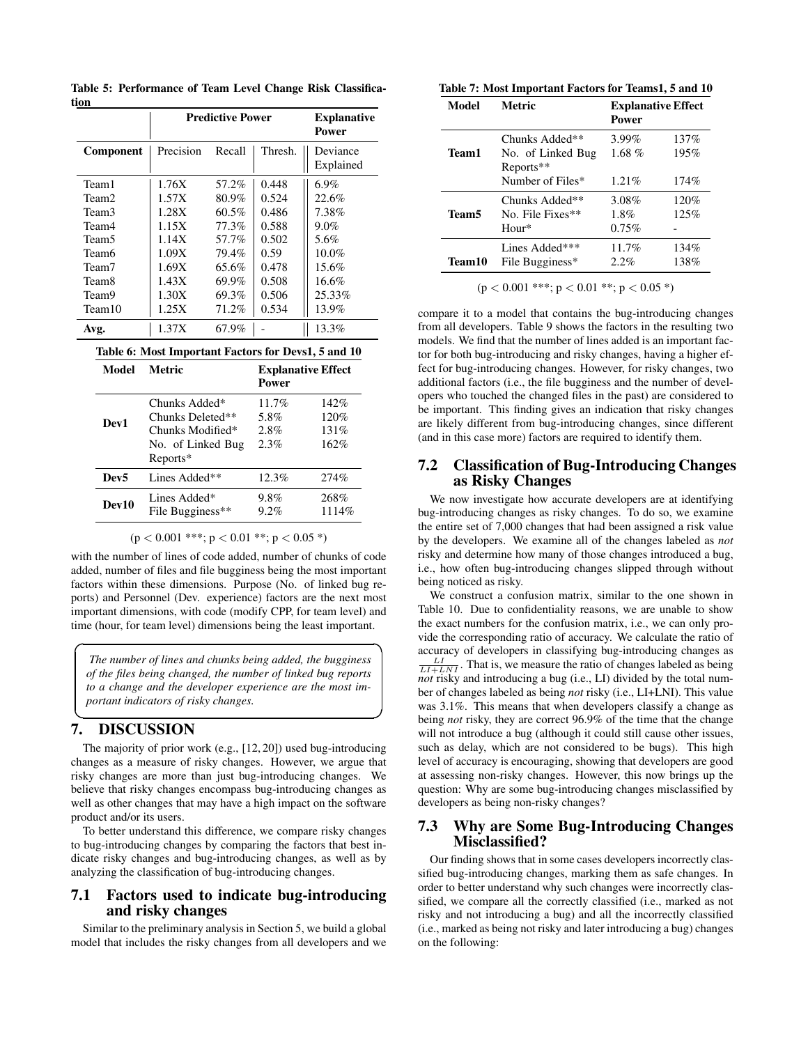Table 5: Performance of Team Level Change Risk Classification

|                   | <b>Predictive Power</b> |          |         | <b>Explanative</b><br>Power |
|-------------------|-------------------------|----------|---------|-----------------------------|
| Component         | Precision               | Recall   | Thresh. | Deviance<br>Explained       |
| Team1             | 1.76X                   | 57.2%    | 0.448   | $6.9\%$                     |
| Team2             | 1.57X                   | 80.9%    | 0.524   | 22.6%                       |
| Team <sub>3</sub> | 1.28X                   | $60.5\%$ | 0.486   | 7.38%                       |
| Team4             | 1.15X                   | 77.3%    | 0.588   | $9.0\%$                     |
| Team5             | 1.14X                   | 57.7%    | 0.502   | 5.6%                        |
| Team6             | 1.09X                   | 79.4%    | 0.59    | $10.0\%$                    |
| Team7             | 1.69X                   | 65.6%    | 0.478   | 15.6%                       |
| Team8             | 1.43X                   | 69.9%    | 0.508   | 16.6%                       |
| Team9             | 1.30X                   | 69.3%    | 0.506   | 25.33%                      |
| Team10            | 1.25X                   | 71.2%    | 0.534   | 13.9%                       |
| Avg.              | 1.37X                   | 67.9%    |         | 13.3%                       |

| Table 6: Most Important Factors for Devs1, 5 and 10 |  |  |  |  |  |  |  |
|-----------------------------------------------------|--|--|--|--|--|--|--|
|-----------------------------------------------------|--|--|--|--|--|--|--|

| Model            | Metric                                                                                 | <b>Explanative Effect</b><br>Power |                              |
|------------------|----------------------------------------------------------------------------------------|------------------------------------|------------------------------|
| Dev1             | Chunks Added*<br>Chunks Deleted**<br>Chunks Modified*<br>No. of Linked Bug<br>Reports* | 11.7%<br>5.8%<br>2.8%<br>2.3%      | 142%<br>120%<br>131%<br>162% |
| Dev <sub>5</sub> | Lines Added**                                                                          | 12.3%                              | 274%                         |
| Dev10            | Lines Added*<br>File Bugginess**                                                       | 9.8%<br>$9.2\%$                    | 268%<br>1114%                |

 $(p < 0.001$  \*\*\*;  $p < 0.01$  \*\*;  $p < 0.05$  \*)

with the number of lines of code added, number of chunks of code added, number of files and file bugginess being the most important factors within these dimensions. Purpose (No. of linked bug reports) and Personnel (Dev. experience) factors are the next most important dimensions, with code (modify CPP, for team level) and time (hour, for team level) dimensions being the least important.

*The number of lines and chunks being added, the bugginess of the files being changed, the number of linked bug reports to a change and the developer experience are the most important indicators of risky changes.*

✟

#### )<br>-7. DISCUSSION

☛

The majority of prior work (e.g., [12, 20]) used bug-introducing changes as a measure of risky changes. However, we argue that risky changes are more than just bug-introducing changes. We believe that risky changes encompass bug-introducing changes as well as other changes that may have a high impact on the software product and/or its users.

To better understand this difference, we compare risky changes to bug-introducing changes by comparing the factors that best indicate risky changes and bug-introducing changes, as well as by analyzing the classification of bug-introducing changes.

## 7.1 Factors used to indicate bug-introducing and risky changes

Similar to the preliminary analysis in Section 5, we build a global model that includes the risky changes from all developers and we

| Table 7: Most Important Factors for Teams1, 5 and 10 |  |  |  |  |
|------------------------------------------------------|--|--|--|--|
|------------------------------------------------------|--|--|--|--|

| Model  | <b>Metric</b>                    | <b>Explanative Effect</b><br>Power |      |
|--------|----------------------------------|------------------------------------|------|
|        | Chunks Added**                   | $3.99\%$                           | 137% |
| Team1  | No. of Linked Bug                | 1.68 $%$                           | 195% |
|        | Reports**                        |                                    |      |
|        | Number of Files*                 | 1.21%                              | 174% |
|        | Chunks Added**                   | 3.08%                              | 120% |
| Team5  | No. File Fixes**                 | $1.8\%$                            | 125% |
|        | $H$ <sub>O</sub> ur <sup>*</sup> | 0.75%                              |      |
|        | Lines Added***                   | 11.7%                              | 134% |
| Team10 | File Bugginess*                  | $2.2\%$                            | 138% |

 $(p < 0.001$  \*\*\*;  $p < 0.01$  \*\*;  $p < 0.05$  \*)

compare it to a model that contains the bug-introducing changes from all developers. Table 9 shows the factors in the resulting two models. We find that the number of lines added is an important factor for both bug-introducing and risky changes, having a higher effect for bug-introducing changes. However, for risky changes, two additional factors (i.e., the file bugginess and the number of developers who touched the changed files in the past) are considered to be important. This finding gives an indication that risky changes are likely different from bug-introducing changes, since different (and in this case more) factors are required to identify them.

## 7.2 Classification of Bug-Introducing Changes as Risky Changes

We now investigate how accurate developers are at identifying bug-introducing changes as risky changes. To do so, we examine the entire set of 7,000 changes that had been assigned a risk value by the developers. We examine all of the changes labeled as *not* risky and determine how many of those changes introduced a bug, i.e., how often bug-introducing changes slipped through without being noticed as risky.

We construct a confusion matrix, similar to the one shown in Table 10. Due to confidentiality reasons, we are unable to show the exact numbers for the confusion matrix, i.e., we can only provide the corresponding ratio of accuracy. We calculate the ratio of accuracy of developers in classifying bug-introducing changes as  $\frac{LI}{LI+LNI}$ . That is, we measure the ratio of changes labeled as being *not* risky and introducing a bug (i.e., LI) divided by the total number of changes labeled as being *not* risky (i.e., LI+LNI). This value was 3.1%. This means that when developers classify a change as being *not* risky, they are correct 96.9% of the time that the change will not introduce a bug (although it could still cause other issues, such as delay, which are not considered to be bugs). This high level of accuracy is encouraging, showing that developers are good at assessing non-risky changes. However, this now brings up the question: Why are some bug-introducing changes misclassified by developers as being non-risky changes?

## 7.3 Why are Some Bug-Introducing Changes Misclassified?

Our finding shows that in some cases developers incorrectly classified bug-introducing changes, marking them as safe changes. In order to better understand why such changes were incorrectly classified, we compare all the correctly classified (i.e., marked as not risky and not introducing a bug) and all the incorrectly classified (i.e., marked as being not risky and later introducing a bug) changes on the following: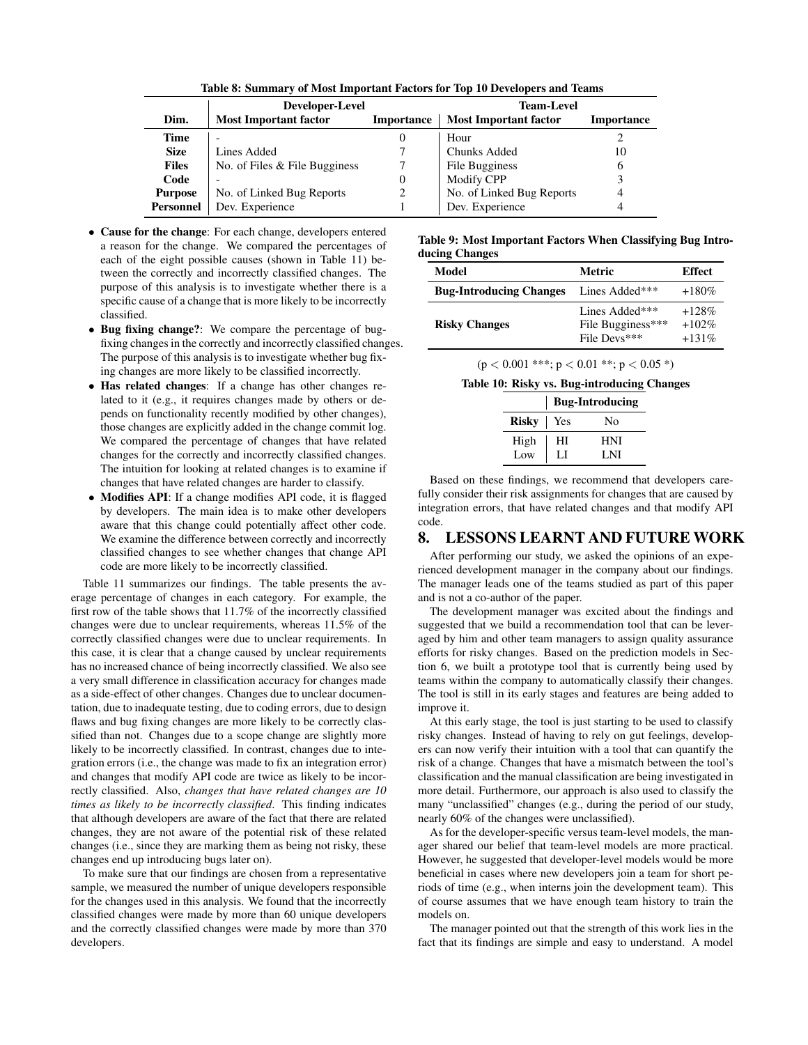|                | Developer-Level               |                   | <b>Team-Level</b>            |                   |
|----------------|-------------------------------|-------------------|------------------------------|-------------------|
| Dim.           | <b>Most Important factor</b>  | <b>Importance</b> | <b>Most Important factor</b> | <b>Importance</b> |
| Time           | $\overline{\phantom{0}}$      | 0                 | Hour                         |                   |
| <b>Size</b>    | Lines Added                   |                   | <b>Chunks Added</b>          | 10                |
| <b>Files</b>   | No. of Files & File Bugginess |                   | File Bugginess               | 6                 |
| Code           | -                             | 0                 | Modify CPP                   | 3                 |
| <b>Purpose</b> | No. of Linked Bug Reports     | 2                 | No. of Linked Bug Reports    | 4                 |
| Personnel      | Dev. Experience               |                   | Dev. Experience              | 4                 |

Table 8: Summary of Most Important Factors for Top 10 Developers and Teams

- Cause for the change: For each change, developers entered a reason for the change. We compared the percentages of each of the eight possible causes (shown in Table 11) between the correctly and incorrectly classified changes. The purpose of this analysis is to investigate whether there is a specific cause of a change that is more likely to be incorrectly classified.
- Bug fixing change?: We compare the percentage of bugfixing changes in the correctly and incorrectly classified changes. The purpose of this analysis is to investigate whether bug fixing changes are more likely to be classified incorrectly.
- Has related changes: If a change has other changes related to it (e.g., it requires changes made by others or depends on functionality recently modified by other changes), those changes are explicitly added in the change commit log. We compared the percentage of changes that have related changes for the correctly and incorrectly classified changes. The intuition for looking at related changes is to examine if changes that have related changes are harder to classify.
- Modifies API: If a change modifies API code, it is flagged by developers. The main idea is to make other developers aware that this change could potentially affect other code. We examine the difference between correctly and incorrectly classified changes to see whether changes that change API code are more likely to be incorrectly classified.

Table 11 summarizes our findings. The table presents the average percentage of changes in each category. For example, the first row of the table shows that 11.7% of the incorrectly classified changes were due to unclear requirements, whereas 11.5% of the correctly classified changes were due to unclear requirements. In this case, it is clear that a change caused by unclear requirements has no increased chance of being incorrectly classified. We also see a very small difference in classification accuracy for changes made as a side-effect of other changes. Changes due to unclear documentation, due to inadequate testing, due to coding errors, due to design flaws and bug fixing changes are more likely to be correctly classified than not. Changes due to a scope change are slightly more likely to be incorrectly classified. In contrast, changes due to integration errors (i.e., the change was made to fix an integration error) and changes that modify API code are twice as likely to be incorrectly classified. Also, *changes that have related changes are 10 times as likely to be incorrectly classified*. This finding indicates that although developers are aware of the fact that there are related changes, they are not aware of the potential risk of these related changes (i.e., since they are marking them as being not risky, these changes end up introducing bugs later on).

To make sure that our findings are chosen from a representative sample, we measured the number of unique developers responsible for the changes used in this analysis. We found that the incorrectly classified changes were made by more than 60 unique developers and the correctly classified changes were made by more than 370 developers.

Table 9: Most Important Factors When Classifying Bug Introducing Changes

| Model                          | Metric                                              | <b>Effect</b>                  |
|--------------------------------|-----------------------------------------------------|--------------------------------|
| <b>Bug-Introducing Changes</b> | Lines Added***                                      | $+180\%$                       |
| <b>Risky Changes</b>           | Lines Added***<br>File Bugginess***<br>File Devs*** | $+128%$<br>$+102\%$<br>$+131%$ |

 $(p < 0.001$  \*\*\*;  $p < 0.01$  \*\*;  $p < 0.05$  \*)

Table 10: Risky vs. Bug-introducing Changes

|             | <b>Bug-Introducing</b> |            |  |
|-------------|------------------------|------------|--|
| Risky   Yes |                        | No         |  |
| High        | HІ                     | <b>HNI</b> |  |
| Low         | LI                     | LNI        |  |

Based on these findings, we recommend that developers carefully consider their risk assignments for changes that are caused by integration errors, that have related changes and that modify API code.

## 8. LESSONS LEARNT AND FUTURE WORK

After performing our study, we asked the opinions of an experienced development manager in the company about our findings. The manager leads one of the teams studied as part of this paper and is not a co-author of the paper.

The development manager was excited about the findings and suggested that we build a recommendation tool that can be leveraged by him and other team managers to assign quality assurance efforts for risky changes. Based on the prediction models in Section 6, we built a prototype tool that is currently being used by teams within the company to automatically classify their changes. The tool is still in its early stages and features are being added to improve it.

At this early stage, the tool is just starting to be used to classify risky changes. Instead of having to rely on gut feelings, developers can now verify their intuition with a tool that can quantify the risk of a change. Changes that have a mismatch between the tool's classification and the manual classification are being investigated in more detail. Furthermore, our approach is also used to classify the many "unclassified" changes (e.g., during the period of our study, nearly 60% of the changes were unclassified).

As for the developer-specific versus team-level models, the manager shared our belief that team-level models are more practical. However, he suggested that developer-level models would be more beneficial in cases where new developers join a team for short periods of time (e.g., when interns join the development team). This of course assumes that we have enough team history to train the models on.

The manager pointed out that the strength of this work lies in the fact that its findings are simple and easy to understand. A model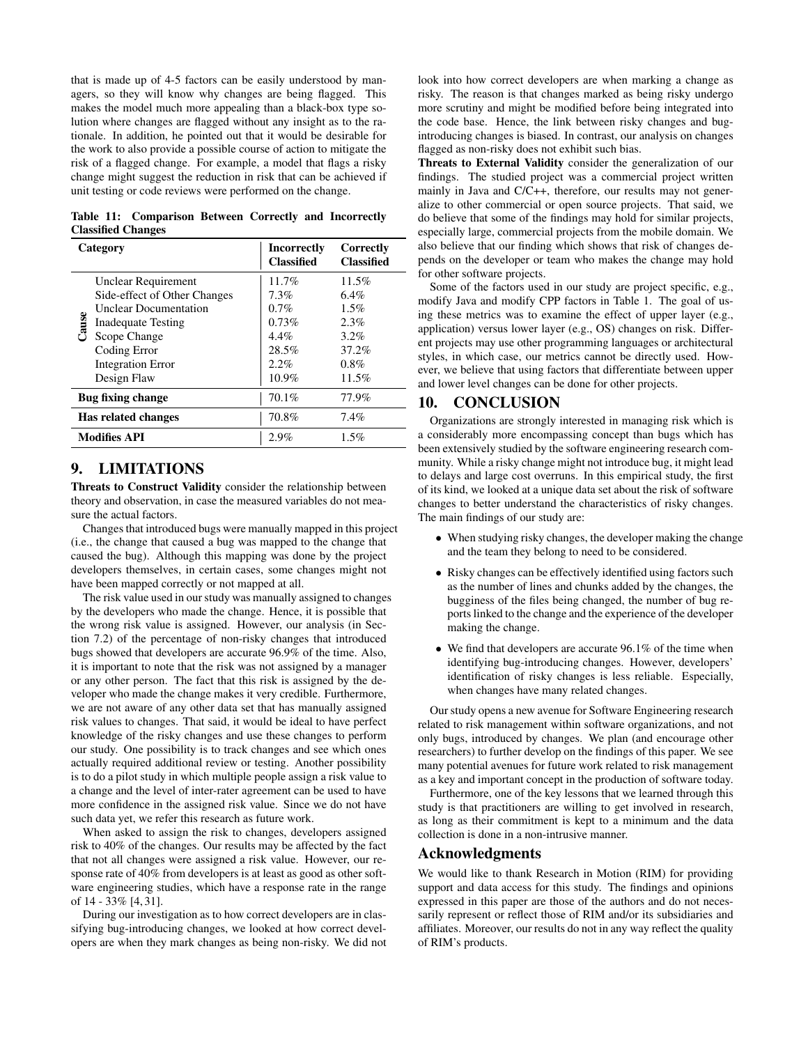that is made up of 4-5 factors can be easily understood by managers, so they will know why changes are being flagged. This makes the model much more appealing than a black-box type solution where changes are flagged without any insight as to the rationale. In addition, he pointed out that it would be desirable for the work to also provide a possible course of action to mitigate the risk of a flagged change. For example, a model that flags a risky change might suggest the reduction in risk that can be achieved if unit testing or code reviews were performed on the change.

Table 11: Comparison Between Correctly and Incorrectly Classified Changes

| Category                   |                              | <b>Incorrectly</b><br><b>Classified</b> | Correctly<br><b>Classified</b> |
|----------------------------|------------------------------|-----------------------------------------|--------------------------------|
|                            | Unclear Requirement          | 11.7%                                   | 11.5%                          |
|                            | Side-effect of Other Changes | 7.3%                                    | 6.4%                           |
| Cause                      | Unclear Documentation        | 0.7%                                    | $1.5\%$                        |
|                            | Inadequate Testing           | 0.73%                                   | 2.3%                           |
|                            | Scope Change                 | 4.4%                                    | $3.2\%$                        |
|                            | Coding Error                 | 28.5%                                   | 37.2%                          |
|                            | <b>Integration Error</b>     | 2.2%                                    | $0.8\%$                        |
|                            | Design Flaw                  | 10.9%                                   | 11.5%                          |
| Bug fixing change          |                              | 70.1%                                   | 77.9%                          |
| <b>Has related changes</b> |                              | 70.8%                                   | 7.4%                           |
| <b>Modifies API</b>        |                              | 2.9%                                    | 1.5%                           |

# 9. LIMITATIONS

Threats to Construct Validity consider the relationship between theory and observation, in case the measured variables do not measure the actual factors.

Changes that introduced bugs were manually mapped in this project (i.e., the change that caused a bug was mapped to the change that caused the bug). Although this mapping was done by the project developers themselves, in certain cases, some changes might not have been mapped correctly or not mapped at all.

The risk value used in our study was manually assigned to changes by the developers who made the change. Hence, it is possible that the wrong risk value is assigned. However, our analysis (in Section 7.2) of the percentage of non-risky changes that introduced bugs showed that developers are accurate 96.9% of the time. Also, it is important to note that the risk was not assigned by a manager or any other person. The fact that this risk is assigned by the developer who made the change makes it very credible. Furthermore, we are not aware of any other data set that has manually assigned risk values to changes. That said, it would be ideal to have perfect knowledge of the risky changes and use these changes to perform our study. One possibility is to track changes and see which ones actually required additional review or testing. Another possibility is to do a pilot study in which multiple people assign a risk value to a change and the level of inter-rater agreement can be used to have more confidence in the assigned risk value. Since we do not have such data yet, we refer this research as future work.

When asked to assign the risk to changes, developers assigned risk to 40% of the changes. Our results may be affected by the fact that not all changes were assigned a risk value. However, our response rate of 40% from developers is at least as good as other software engineering studies, which have a response rate in the range of 14 - 33% [4, 31].

During our investigation as to how correct developers are in classifying bug-introducing changes, we looked at how correct developers are when they mark changes as being non-risky. We did not look into how correct developers are when marking a change as risky. The reason is that changes marked as being risky undergo more scrutiny and might be modified before being integrated into the code base. Hence, the link between risky changes and bugintroducing changes is biased. In contrast, our analysis on changes flagged as non-risky does not exhibit such bias.

Threats to External Validity consider the generalization of our findings. The studied project was a commercial project written mainly in Java and C/C++, therefore, our results may not generalize to other commercial or open source projects. That said, we do believe that some of the findings may hold for similar projects, especially large, commercial projects from the mobile domain. We also believe that our finding which shows that risk of changes depends on the developer or team who makes the change may hold for other software projects.

Some of the factors used in our study are project specific, e.g., modify Java and modify CPP factors in Table 1. The goal of using these metrics was to examine the effect of upper layer (e.g., application) versus lower layer (e.g., OS) changes on risk. Different projects may use other programming languages or architectural styles, in which case, our metrics cannot be directly used. However, we believe that using factors that differentiate between upper and lower level changes can be done for other projects.

# 10. CONCLUSION

Organizations are strongly interested in managing risk which is a considerably more encompassing concept than bugs which has been extensively studied by the software engineering research community. While a risky change might not introduce bug, it might lead to delays and large cost overruns. In this empirical study, the first of its kind, we looked at a unique data set about the risk of software changes to better understand the characteristics of risky changes. The main findings of our study are:

- When studying risky changes, the developer making the change and the team they belong to need to be considered.
- Risky changes can be effectively identified using factors such as the number of lines and chunks added by the changes, the bugginess of the files being changed, the number of bug reports linked to the change and the experience of the developer making the change.
- We find that developers are accurate 96.1% of the time when identifying bug-introducing changes. However, developers' identification of risky changes is less reliable. Especially, when changes have many related changes.

Our study opens a new avenue for Software Engineering research related to risk management within software organizations, and not only bugs, introduced by changes. We plan (and encourage other researchers) to further develop on the findings of this paper. We see many potential avenues for future work related to risk management as a key and important concept in the production of software today.

Furthermore, one of the key lessons that we learned through this study is that practitioners are willing to get involved in research, as long as their commitment is kept to a minimum and the data collection is done in a non-intrusive manner.

## Acknowledgments

We would like to thank Research in Motion (RIM) for providing support and data access for this study. The findings and opinions expressed in this paper are those of the authors and do not necessarily represent or reflect those of RIM and/or its subsidiaries and affiliates. Moreover, our results do not in any way reflect the quality of RIM's products.